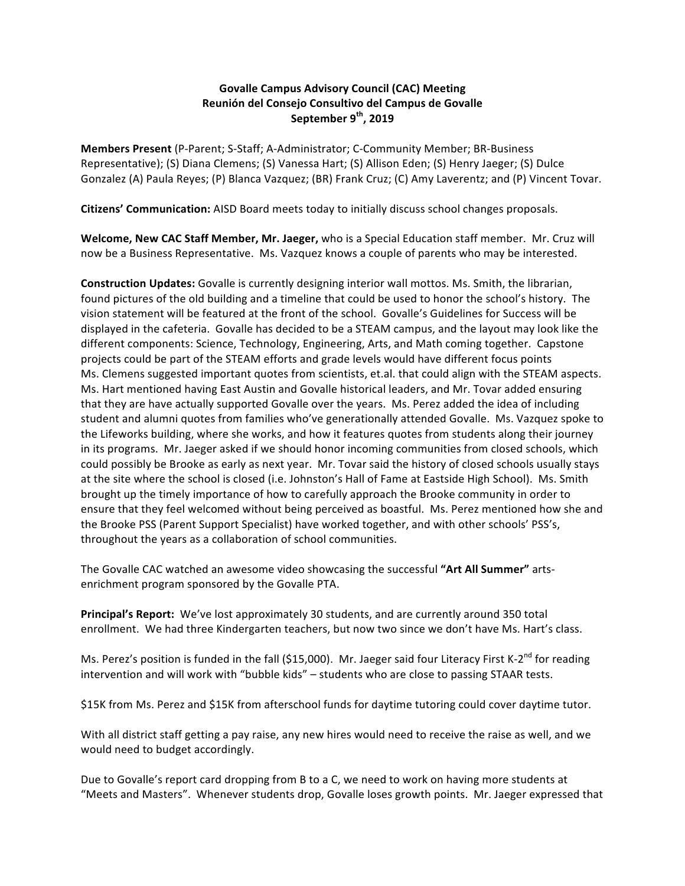## **Govalle Campus Advisory Council (CAC) Meeting Reunión del Consejo Consultivo del Campus de Govalle** September 9<sup>th</sup>, 2019

**Members Present** (P-Parent; S-Staff; A-Administrator; C-Community Member; BR-Business Representative); (S) Diana Clemens; (S) Vanessa Hart; (S) Allison Eden; (S) Henry Jaeger; (S) Dulce Gonzalez (A) Paula Reyes; (P) Blanca Vazquez; (BR) Frank Cruz; (C) Amy Laverentz; and (P) Vincent Tovar.

**Citizens' Communication:** AISD Board meets today to initially discuss school changes proposals.

**Welcome, New CAC Staff Member, Mr. Jaeger,** who is a Special Education staff member. Mr. Cruz will now be a Business Representative. Ms. Vazquez knows a couple of parents who may be interested.

**Construction Updates:** Govalle is currently designing interior wall mottos. Ms. Smith, the librarian, found pictures of the old building and a timeline that could be used to honor the school's history. The vision statement will be featured at the front of the school. Govalle's Guidelines for Success will be displayed in the cafeteria. Govalle has decided to be a STEAM campus, and the layout may look like the different components: Science, Technology, Engineering, Arts, and Math coming together. Capstone projects could be part of the STEAM efforts and grade levels would have different focus points Ms. Clemens suggested important quotes from scientists, et.al. that could align with the STEAM aspects. Ms. Hart mentioned having East Austin and Govalle historical leaders, and Mr. Tovar added ensuring that they are have actually supported Govalle over the years. Ms. Perez added the idea of including student and alumni quotes from families who've generationally attended Govalle. Ms. Vazquez spoke to the Lifeworks building, where she works, and how it features quotes from students along their journey in its programs. Mr. Jaeger asked if we should honor incoming communities from closed schools, which could possibly be Brooke as early as next year. Mr. Tovar said the history of closed schools usually stays at the site where the school is closed (i.e. Johnston's Hall of Fame at Eastside High School). Ms. Smith brought up the timely importance of how to carefully approach the Brooke community in order to ensure that they feel welcomed without being perceived as boastful. Ms. Perez mentioned how she and the Brooke PSS (Parent Support Specialist) have worked together, and with other schools' PSS's, throughout the years as a collaboration of school communities.

The Govalle CAC watched an awesome video showcasing the successful "Art All Summer" artsenrichment program sponsored by the Govalle PTA.

Principal's Report: We've lost approximately 30 students, and are currently around 350 total enrollment. We had three Kindergarten teachers, but now two since we don't have Ms. Hart's class.

Ms. Perez's position is funded in the fall (\$15,000). Mr. Jaeger said four Literacy First K-2<sup>nd</sup> for reading intervention and will work with "bubble kids" – students who are close to passing STAAR tests.

\$15K from Ms. Perez and \$15K from afterschool funds for daytime tutoring could cover daytime tutor.

With all district staff getting a pay raise, any new hires would need to receive the raise as well, and we would need to budget accordingly.

Due to Govalle's report card dropping from B to a C, we need to work on having more students at "Meets and Masters". Whenever students drop, Govalle loses growth points. Mr. Jaeger expressed that